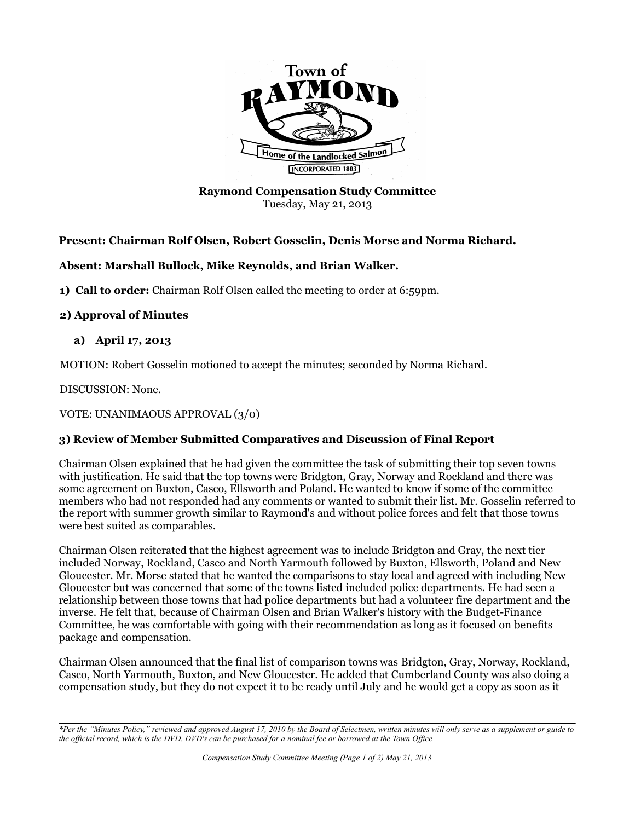

**Raymond Compensation Study Committee** Tuesday, May 21, 2013

# **Present: Chairman Rolf Olsen, Robert Gosselin, Denis Morse and Norma Richard.**

## **Absent: Marshall Bullock, Mike Reynolds, and Brian Walker.**

**1) Call to order:** Chairman Rolf Olsen called the meeting to order at 6:59pm.

### **2) Approval of Minutes**

## **a) April 17, 2013**

MOTION: Robert Gosselin motioned to accept the minutes; seconded by Norma Richard.

DISCUSSION: None.

VOTE: UNANIMAOUS APPROVAL (3/0)

# **3) Review of Member Submitted Comparatives and Discussion of Final Report**

Chairman Olsen explained that he had given the committee the task of submitting their top seven towns with justification. He said that the top towns were Bridgton, Gray, Norway and Rockland and there was some agreement on Buxton, Casco, Ellsworth and Poland. He wanted to know if some of the committee members who had not responded had any comments or wanted to submit their list. Mr. Gosselin referred to the report with summer growth similar to Raymond's and without police forces and felt that those towns were best suited as comparables.

Chairman Olsen reiterated that the highest agreement was to include Bridgton and Gray, the next tier included Norway, Rockland, Casco and North Yarmouth followed by Buxton, Ellsworth, Poland and New Gloucester. Mr. Morse stated that he wanted the comparisons to stay local and agreed with including New Gloucester but was concerned that some of the towns listed included police departments. He had seen a relationship between those towns that had police departments but had a volunteer fire department and the inverse. He felt that, because of Chairman Olsen and Brian Walker's history with the Budget-Finance Committee, he was comfortable with going with their recommendation as long as it focused on benefits package and compensation.

Chairman Olsen announced that the final list of comparison towns was Bridgton, Gray, Norway, Rockland, Casco, North Yarmouth, Buxton, and New Gloucester. He added that Cumberland County was also doing a compensation study, but they do not expect it to be ready until July and he would get a copy as soon as it

*<sup>\*</sup>Per the "Minutes Policy," reviewed and approved August 17, 2010 by the Board of Selectmen, written minutes will only serve as a supplement or guide to the official record, which is the DVD. DVD's can be purchased for a nominal fee or borrowed at the Town Office*